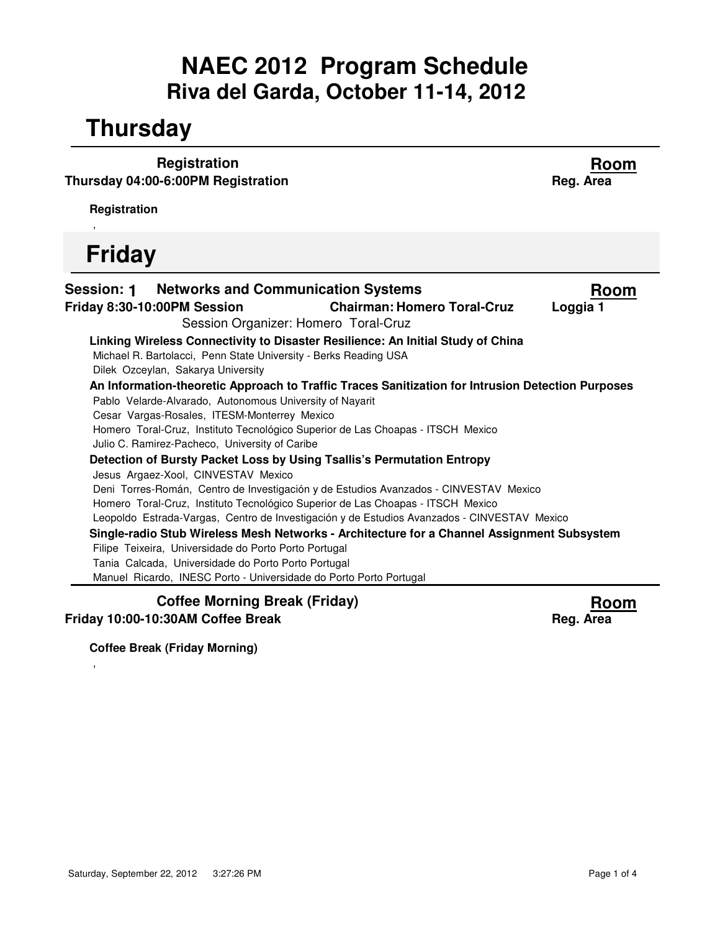### **Riva del Garda, October 11-14, 2012 NAEC 2012 Program Schedule**

### **Thursday**

**Registration Thursday 04:00-6:00PM Registration**

**Room Reg. Area**

**Registration**

,

# **Friday**

| <b>Session: 1 Networks and Communication Systems</b>                                              | Room     |  |  |  |
|---------------------------------------------------------------------------------------------------|----------|--|--|--|
| <b>Chairman: Homero Toral-Cruz</b><br>Friday 8:30-10:00PM Session                                 | Loggia 1 |  |  |  |
| Session Organizer: Homero Toral-Cruz                                                              |          |  |  |  |
| Linking Wireless Connectivity to Disaster Resilience: An Initial Study of China                   |          |  |  |  |
| Michael R. Bartolacci, Penn State University - Berks Reading USA                                  |          |  |  |  |
| Dilek Ozceylan, Sakarya University                                                                |          |  |  |  |
| An Information-theoretic Approach to Traffic Traces Sanitization for Intrusion Detection Purposes |          |  |  |  |
| Pablo Velarde-Alvarado, Autonomous University of Nayarit                                          |          |  |  |  |
| Cesar Vargas-Rosales, ITESM-Monterrey Mexico                                                      |          |  |  |  |
| Homero Toral-Cruz, Instituto Tecnológico Superior de Las Choapas - ITSCH Mexico                   |          |  |  |  |
| Julio C. Ramirez-Pacheco, University of Caribe                                                    |          |  |  |  |
| Detection of Bursty Packet Loss by Using Tsallis's Permutation Entropy                            |          |  |  |  |
| Jesus Argaez-Xool, CINVESTAV Mexico                                                               |          |  |  |  |
| Deni Torres-Román, Centro de Investigación y de Estudios Avanzados - CINVESTAV Mexico             |          |  |  |  |
| Homero Toral-Cruz, Instituto Tecnológico Superior de Las Choapas - ITSCH Mexico                   |          |  |  |  |
| Leopoldo Estrada-Vargas, Centro de Investigación y de Estudios Avanzados - CINVESTAV Mexico       |          |  |  |  |
| Single-radio Stub Wireless Mesh Networks - Architecture for a Channel Assignment Subsystem        |          |  |  |  |
| Filipe Teixeira, Universidade do Porto Porto Portugal                                             |          |  |  |  |
| Tania Calcada, Universidade do Porto Porto Portugal                                               |          |  |  |  |
| Manuel Ricardo, INESC Porto - Universidade do Porto Porto Portugal                                |          |  |  |  |
| <b>Coffee Morning Break (Friday)</b>                                                              | Room     |  |  |  |

**Friday 10:00-10:30AM Coffee Break**

**Room Reg. Area**

**Coffee Break (Friday Morning)**

,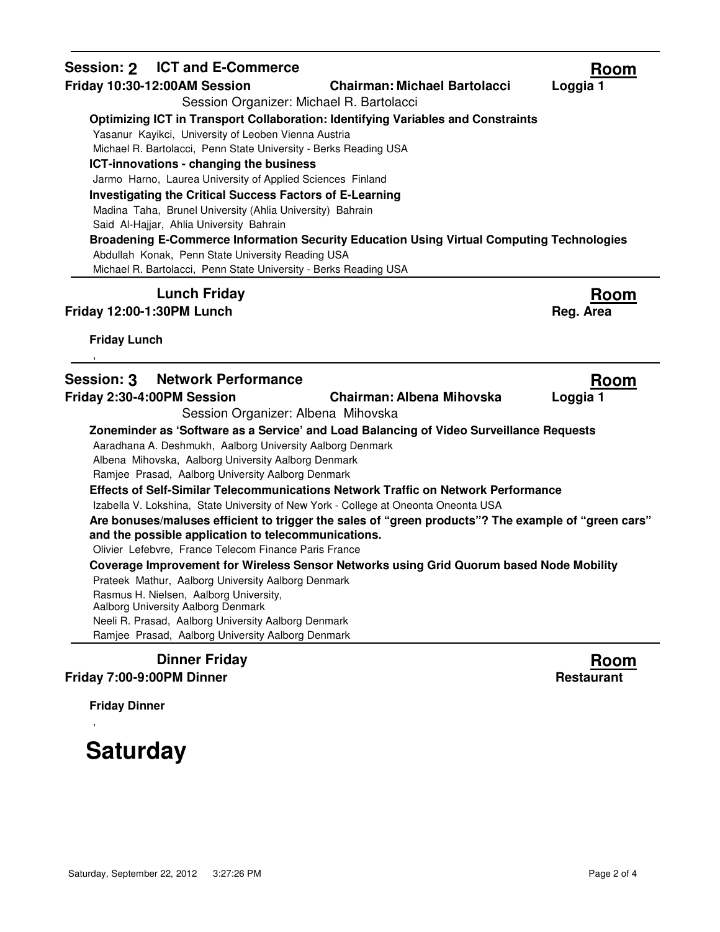| Session: 2 ICT and E-Commerce<br>Friday 10:30-12:00AM Session<br><b>Chairman: Michael Bartolacci</b><br>Session Organizer: Michael R. Bartolacci                                                                    | Room<br>Loggia 1  |
|---------------------------------------------------------------------------------------------------------------------------------------------------------------------------------------------------------------------|-------------------|
| <b>Optimizing ICT in Transport Collaboration: Identifying Variables and Constraints</b><br>Yasanur Kayikci, University of Leoben Vienna Austria<br>Michael R. Bartolacci, Penn State University - Berks Reading USA |                   |
| ICT-innovations - changing the business                                                                                                                                                                             |                   |
| Jarmo Harno, Laurea University of Applied Sciences Finland                                                                                                                                                          |                   |
| <b>Investigating the Critical Success Factors of E-Learning</b><br>Madina Taha, Brunel University (Ahlia University) Bahrain<br>Said Al-Hajjar, Ahlia University Bahrain                                            |                   |
| Broadening E-Commerce Information Security Education Using Virtual Computing Technologies                                                                                                                           |                   |
| Abdullah Konak, Penn State University Reading USA                                                                                                                                                                   |                   |
| Michael R. Bartolacci, Penn State University - Berks Reading USA                                                                                                                                                    |                   |
| <b>Lunch Friday</b><br>Friday 12:00-1:30PM Lunch                                                                                                                                                                    | Room<br>Reg. Area |
| <b>Friday Lunch</b>                                                                                                                                                                                                 |                   |
| <b>Network Performance</b><br>Session: 3                                                                                                                                                                            | <b>Room</b>       |
| <b>Chairman: Albena Mihovska</b><br>Friday 2:30-4:00PM Session                                                                                                                                                      | Loggia 1          |
| Session Organizer: Albena Mihovska                                                                                                                                                                                  |                   |
| Zoneminder as 'Software as a Service' and Load Balancing of Video Surveillance Requests<br>Aaradhana A. Deshmukh, Aalborg University Aalborg Denmark<br>Albena Mihovska, Aalborg University Aalborg Denmark         |                   |
| Ramjee Prasad, Aalborg University Aalborg Denmark<br>Effects of Self-Similar Telecommunications Network Traffic on Network Performance                                                                              |                   |
| Izabella V. Lokshina, State University of New York - College at Oneonta Oneonta USA                                                                                                                                 |                   |
| "Are bonuses/maluses efficient to trigger the sales of "green products"? The example of "green cars<br>and the possible application to telecommunications.                                                          |                   |
| Olivier Lefebvre, France Telecom Finance Paris France                                                                                                                                                               |                   |
| Coverage Improvement for Wireless Sensor Networks using Grid Quorum based Node Mobility                                                                                                                             |                   |
| Prateek Mathur, Aalborg University Aalborg Denmark                                                                                                                                                                  |                   |
| Rasmus H. Nielsen, Aalborg University,<br>Aalborg University Aalborg Denmark                                                                                                                                        |                   |
| Neeli R. Prasad, Aalborg University Aalborg Denmark                                                                                                                                                                 |                   |
| Ramjee Prasad, Aalborg University Aalborg Denmark                                                                                                                                                                   |                   |

#### **Dinner Friday Friday 7:00-9:00PM Dinner**

**Room Restaurant**

**Friday Dinner**

,

# **Saturday**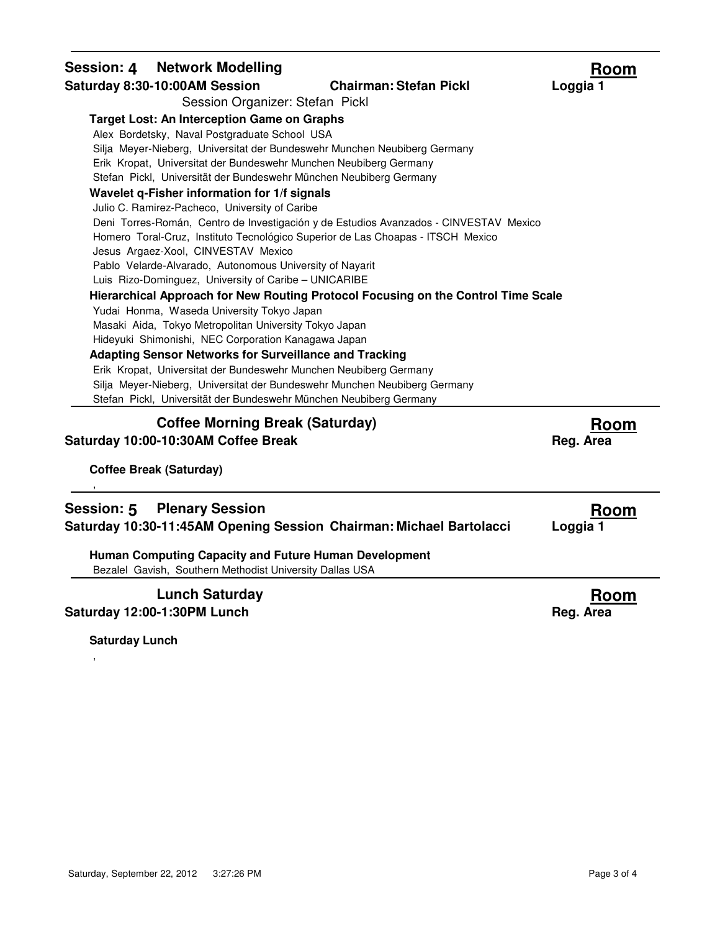| <b>Session: 4</b><br><b>Network Modelling</b>                                         | <b>Room</b> |
|---------------------------------------------------------------------------------------|-------------|
| <b>Chairman: Stefan Pickl</b><br>Saturday 8:30-10:00AM Session                        | Loggia 1    |
| Session Organizer: Stefan Pickl                                                       |             |
| <b>Target Lost: An Interception Game on Graphs</b>                                    |             |
| Alex Bordetsky, Naval Postgraduate School USA                                         |             |
| Silja Meyer-Nieberg, Universitat der Bundeswehr Munchen Neubiberg Germany             |             |
| Erik Kropat, Universitat der Bundeswehr Munchen Neubiberg Germany                     |             |
| Stefan Pickl, Universität der Bundeswehr München Neubiberg Germany                    |             |
| Wavelet q-Fisher information for 1/f signals                                          |             |
| Julio C. Ramirez-Pacheco, University of Caribe                                        |             |
| Deni Torres-Román, Centro de Investigación y de Estudios Avanzados - CINVESTAV Mexico |             |
| Homero Toral-Cruz, Instituto Tecnológico Superior de Las Choapas - ITSCH Mexico       |             |
| Jesus Argaez-Xool, CINVESTAV Mexico                                                   |             |
| Pablo Velarde-Alvarado, Autonomous University of Nayarit                              |             |
| Luis Rizo-Dominguez, University of Caribe - UNICARIBE                                 |             |
| Hierarchical Approach for New Routing Protocol Focusing on the Control Time Scale     |             |
| Yudai Honma, Waseda University Tokyo Japan                                            |             |
| Masaki Aida, Tokyo Metropolitan University Tokyo Japan                                |             |
| Hideyuki Shimonishi, NEC Corporation Kanagawa Japan                                   |             |
| <b>Adapting Sensor Networks for Surveillance and Tracking</b>                         |             |
| Erik Kropat, Universitat der Bundeswehr Munchen Neubiberg Germany                     |             |
| Silja Meyer-Nieberg, Universitat der Bundeswehr Munchen Neubiberg Germany             |             |
| Stefan Pickl, Universität der Bundeswehr München Neubiberg Germany                    |             |
| <b>Coffee Morning Break (Saturday)</b>                                                | <b>Room</b> |
| Saturday 10:00-10:30AM Coffee Break                                                   | Reg. Area   |
| <b>Coffee Break (Saturday)</b>                                                        |             |
|                                                                                       |             |
| Session: 5 Plenary Session                                                            | <u>Room</u> |
| Saturday 10:30-11:45AM Opening Session Chairman: Michael Bartolacci                   | Loggia 1    |
| Human Computing Capacity and Future Human Development                                 |             |

Bezalel Gavish, Southern Methodist University Dallas USA

**Lunch Saturday Saturday 12:00-1:30PM Lunch**

**Saturday Lunch**

,

**Room**

**Reg. Area**